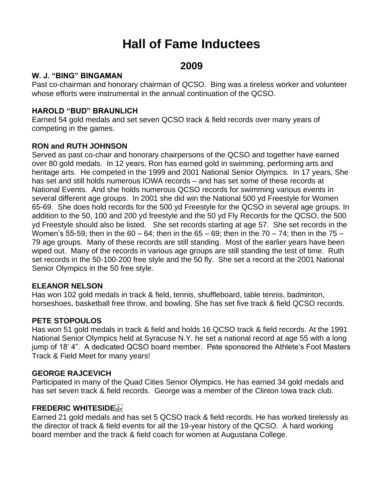# **Hall of Fame Inductees**

# **2009**

#### **W. J. "BING" BINGAMAN**

Past co-chairman and honorary chairman of QCSO. Bing was a tireless worker and volunteer whose efforts were instrumental in the annual continuation of the QCSO.

# **HAROLD "BUD" BRAUNLICH**

Earned 54 gold medals and set seven QCSO track & field records over many years of competing in the games.

# **RON and RUTH JOHNSON**

Served as past co-chair and honorary chairpersons of the QCSO and together have earned over 80 gold medals. In 12 years, Ron has earned gold in swimming, performing arts and heritage arts. He competed in the 1999 and 2001 National Senior Olympics. In 17 years, She has set and still holds numerous IOWA records – and has set some of these records at National Events. And she holds numerous QCSO records for swimming various events in several different age groups. In 2001 she did win the National 500 yd Freestyle for Women 65-69. She does hold records for the 500 yd Freestyle for the QCSO in several age groups. In addition to the 50, 100 and 200 yd freestyle and the 50 yd Fly Records for the QCSO, the 500 yd Freestyle should also be listed. She set records starting at age 57. She set records in the Women's 55-59; then in the 60 – 64; then in the 65 – 69; then in the 70 – 74; then in the 75 – 79 age groups. Many of these records are still standing. Most of the earlier years have been wiped out. Many of the records in various age groups are still standing the test of time. Ruth set records in the 50-100-200 free style and the 50 fly. She set a record at the 2001 National Senior Olympics in the 50 free style.

#### **ELEANOR NELSON**

Has won 102 gold medals in track & field, tennis, shuffleboard, table tennis, badminton, horseshoes, basketball free throw, and bowling. She has set five track & field QCSO records.

#### **PETE STOPOULOS**

Has won 51 gold medals in track & field and holds 16 QCSO track & field records. At the 1991 National Senior Olympics held at Syracuse N.Y. he set a national record at age 55 with a long jump of 18' 4". A dedicated QCSO board member. Pete sponsored the Athlete's Foot Masters Track & Field Meet for many years!

#### **GEORGE RAJCEVICH**

Participated in many of the Quad Cities Senior Olympics. He has earned 34 gold medals and has set seven track & field records. George was a member of the Clinton Iowa track club.

# **FREDERIC WHITESIDE**

Earned 21 gold medals and has set 5 QCSO track & field records. He has worked tirelessly as the director of track & field events for all the 19-year history of the QCSO. A hard working board member and the track & field coach for women at Augustana College.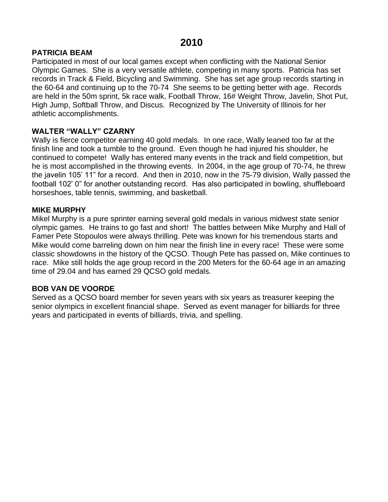#### **PATRICIA BEAM**

Participated in most of our local games except when conflicting with the National Senior Olympic Games. She is a very versatile athlete, competing in many sports. Patricia has set records in Track & Field, Bicycling and Swimming. She has set age group records starting in the 60-64 and continuing up to the 70-74 She seems to be getting better with age. Records are held in the 50m sprint, 5k race walk, Football Throw, 16# Weight Throw, Javelin, Shot Put, High Jump, Softball Throw, and Discus. Recognized by The University of Illinois for her athletic accomplishments.

#### **WALTER "WALLY" CZARNY**

Wally is fierce competitor earning 40 gold medals. In one race, Wally leaned too far at the finish line and took a tumble to the ground. Even though he had injured his shoulder, he continued to compete! Wally has entered many events in the track and field competition, but he is most accomplished in the throwing events. In 2004, in the age group of 70-74, he threw the javelin 105' 11" for a record. And then in 2010, now in the 75-79 division, Wally passed the football 102' 0" for another outstanding record. Has also participated in bowling, shuffleboard horseshoes, table tennis, swimming, and basketball.

#### **MIKE MURPHY**

Mikel Murphy is a pure sprinter earning several gold medals in various midwest state senior olympic games. He trains to go fast and short! The battles between Mike Murphy and Hall of Famer Pete Stopoulos were always thrilling. Pete was known for his tremendous starts and Mike would come barreling down on him near the finish line in every race! These were some classic showdowns in the history of the QCSO. Though Pete has passed on, Mike continues to race. Mike still holds the age group record in the 200 Meters for the 60-64 age in an amazing time of 29.04 and has earned 29 QCSO gold medals.

#### **BOB VAN DE VOORDE**

Served as a QCSO board member for seven years with six years as treasurer keeping the senior olympics in excellent financial shape. Served as event manager for billiards for three years and participated in events of billiards, trivia, and spelling.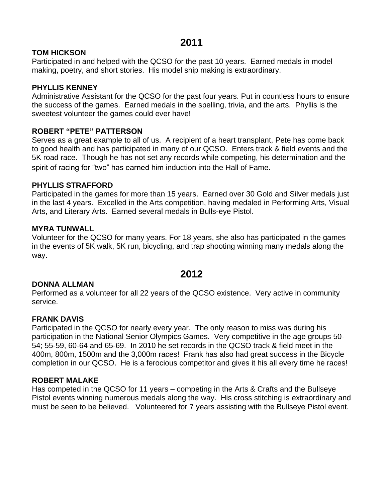# **2011**

#### **TOM HICKSON**

Participated in and helped with the QCSO for the past 10 years. Earned medals in model making, poetry, and short stories. His model ship making is extraordinary.

#### **PHYLLIS KENNEY**

Administrative Assistant for the QCSO for the past four years. Put in countless hours to ensure the success of the games. Earned medals in the spelling, trivia, and the arts. Phyllis is the sweetest volunteer the games could ever have!

#### **ROBERT "PETE" PATTERSON**

Serves as a great example to all of us. A recipient of a heart transplant, Pete has come back to good health and has participated in many of our QCSO. Enters track & field events and the 5K road race. Though he has not set any records while competing, his determination and the spirit of racing for "two" has earned him induction into the Hall of Fame.

#### **PHYLLIS STRAFFORD**

Participated in the games for more than 15 years. Earned over 30 Gold and Silver medals just in the last 4 years. Excelled in the Arts competition, having medaled in Performing Arts, Visual Arts, and Literary Arts. Earned several medals in Bulls-eye Pistol.

#### **MYRA TUNWALL**

Volunteer for the QCSO for many years. For 18 years, she also has participated in the games in the events of 5K walk, 5K run, bicycling, and trap shooting winning many medals along the way.

# **2012**

#### **DONNA ALLMAN**

Performed as a volunteer for all 22 years of the QCSO existence. Very active in community service.

#### **FRANK DAVIS**

Participated in the QCSO for nearly every year. The only reason to miss was during his participation in the National Senior Olympics Games. Very competitive in the age groups 50- 54; 55-59, 60-64 and 65-69. In 2010 he set records in the QCSO track & field meet in the 400m, 800m, 1500m and the 3,000m races! Frank has also had great success in the Bicycle completion in our QCSO. He is a ferocious competitor and gives it his all every time he races!

#### **ROBERT MALAKE**

Has competed in the QCSO for 11 years – competing in the Arts & Crafts and the Bullseye Pistol events winning numerous medals along the way. His cross stitching is extraordinary and must be seen to be believed. Volunteered for 7 years assisting with the Bullseye Pistol event.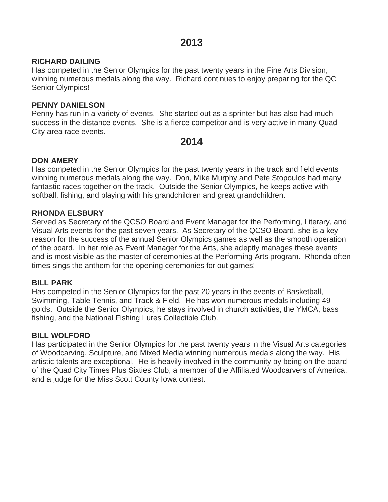#### **RICHARD DAILING**

Has competed in the Senior Olympics for the past twenty years in the Fine Arts Division, winning numerous medals along the way. Richard continues to enjoy preparing for the QC Senior Olympics!

#### **PENNY DANIELSON**

Penny has run in a variety of events. She started out as a sprinter but has also had much success in the distance events. She is a fierce competitor and is very active in many Quad City area race events.

# **2014**

#### **DON AMERY**

Has competed in the Senior Olympics for the past twenty years in the track and field events winning numerous medals along the way. Don, Mike Murphy and Pete Stopoulos had many fantastic races together on the track. Outside the Senior Olympics, he keeps active with softball, fishing, and playing with his grandchildren and great grandchildren.

#### **RHONDA ELSBURY**

Served as Secretary of the QCSO Board and Event Manager for the Performing, Literary, and Visual Arts events for the past seven years. As Secretary of the QCSO Board, she is a key reason for the success of the annual Senior Olympics games as well as the smooth operation of the board. In her role as Event Manager for the Arts, she adeptly manages these events and is most visible as the master of ceremonies at the Performing Arts program. Rhonda often times sings the anthem for the opening ceremonies for out games!

#### **BILL PARK**

Has competed in the Senior Olympics for the past 20 years in the events of Basketball, Swimming, Table Tennis, and Track & Field. He has won numerous medals including 49 golds. Outside the Senior Olympics, he stays involved in church activities, the YMCA, bass fishing, and the National Fishing Lures Collectible Club.

#### **BILL WOLFORD**

Has participated in the Senior Olympics for the past twenty years in the Visual Arts categories of Woodcarving, Sculpture, and Mixed Media winning numerous medals along the way. His artistic talents are exceptional. He is heavily involved in the community by being on the board of the Quad City Times Plus Sixties Club, a member of the Affiliated Woodcarvers of America, and a judge for the Miss Scott County Iowa contest.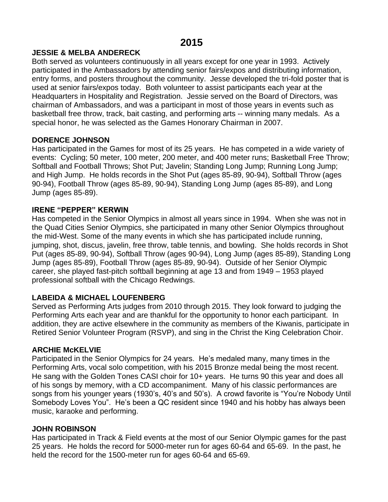#### **JESSIE & MELBA ANDERECK**

Both served as volunteers continuously in all years except for one year in 1993. Actively participated in the Ambassadors by attending senior fairs/expos and distributing information, entry forms, and posters throughout the community. Jesse developed the tri-fold poster that is used at senior fairs/expos today. Both volunteer to assist participants each year at the Headquarters in Hospitality and Registration. Jessie served on the Board of Directors, was chairman of Ambassadors, and was a participant in most of those years in events such as basketball free throw, track, bait casting, and performing arts -- winning many medals. As a special honor, he was selected as the Games Honorary Chairman in 2007.

#### **DORENCE JOHNSON**

Has participated in the Games for most of its 25 years. He has competed in a wide variety of events: Cycling; 50 meter, 100 meter, 200 meter, and 400 meter runs; Basketball Free Throw; Softball and Football Throws; Shot Put; Javelin; Standing Long Jump; Running Long Jump; and High Jump. He holds records in the Shot Put (ages 85-89, 90-94), Softball Throw (ages 90-94), Football Throw (ages 85-89, 90-94), Standing Long Jump (ages 85-89), and Long Jump (ages 85-89).

#### **IRENE "PEPPER" KERWIN**

Has competed in the Senior Olympics in almost all years since in 1994. When she was not in the Quad Cities Senior Olympics, she participated in many other Senior Olympics throughout the mid-West. Some of the many events in which she has participated include running, jumping, shot, discus, javelin, free throw, table tennis, and bowling. She holds records in Shot Put (ages 85-89, 90-94), Softball Throw (ages 90-94), Long Jump (ages 85-89), Standing Long Jump (ages 85-89), Football Throw (ages 85-89, 90-94). Outside of her Senior Olympic career, she played fast-pitch softball beginning at age 13 and from 1949 – 1953 played professional softball with the Chicago Redwings.

# **LABEIDA & MICHAEL LOUFENBERG**

Served as Performing Arts judges from 2010 through 2015. They look forward to judging the Performing Arts each year and are thankful for the opportunity to honor each participant. In addition, they are active elsewhere in the community as members of the Kiwanis, participate in Retired Senior Volunteer Program (RSVP), and sing in the Christ the King Celebration Choir.

#### **ARCHIE McKELVIE**

Participated in the Senior Olympics for 24 years. He's medaled many, many times in the Performing Arts, vocal solo competition, with his 2015 Bronze medal being the most recent. He sang with the Golden Tones CASI choir for 10+ years. He turns 90 this year and does all of his songs by memory, with a CD accompaniment. Many of his classic performances are songs from his younger years (1930's, 40's and 50's). A crowd favorite is "You're Nobody Until Somebody Loves You". He's been a QC resident since 1940 and his hobby has always been music, karaoke and performing.

#### **JOHN ROBINSON**

Has participated in Track & Field events at the most of our Senior Olympic games for the past 25 years. He holds the record for 5000-meter run for ages 60-64 and 65-69. In the past, he held the record for the 1500-meter run for ages 60-64 and 65-69.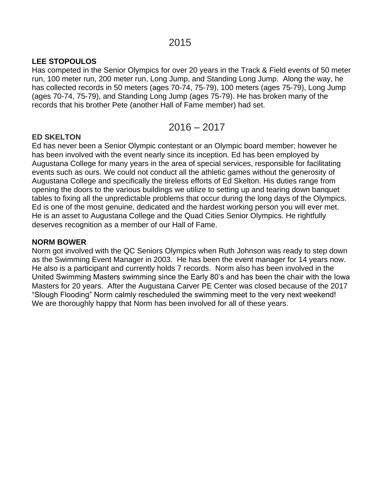### **LEE STOPOULOS**

Has competed in the Senior Olympics for over 20 years in the Track & Field events of 50 meter run, 100 meter run, 200 meter run, Long Jump, and Standing Long Jump. Along the way, he has collected records in 50 meters (ages 70-74, 75-79), 100 meters (ages 75-79), Long Jump (ages 70-74, 75-79), and Standing Long Jump (ages 75-79). He has broken many of the records that his brother Pete (another Hall of Fame member) had set.

$$
2016-2017
$$

# **ED SKELTON**

Ed has never been a Senior Olympic contestant or an Olympic board member; however he has been involved with the event nearly since its inception. Ed has been employed by Augustana College for many years in the area of special services, responsible for facilitating events such as ours. We could not conduct all the athletic games without the generosity of Augustana College and specifically the tireless efforts of Ed Skelton. His duties range from opening the doors to the various buildings we utilize to setting up and tearing down banquet tables to fixing all the unpredictable problems that occur during the long days of the Olympics. Ed is one of the most genuine, dedicated and the hardest working person you will ever met. He is an asset to Augustana College and the Quad Cities Senior Olympics. He rightfully deserves recognition as a member of our Hall of Fame.

#### **NORM BOWER**

Norm got involved with the QC Seniors Olympics when Ruth Johnson was ready to step down as the Swimming Event Manager in 2003. He has been the event manager for 14 years now. He also is a participant and currently holds 7 records. Norm also has been involved in the United Swimming Masters swimming since the Early 80's and has been the chair with the Iowa Masters for 20 years. After the Augustana Carver PE Center was closed because of the 2017 "Slough Flooding" Norm calmly rescheduled the swimming meet to the very next weekend! We are thoroughly happy that Norm has been involved for all of these years.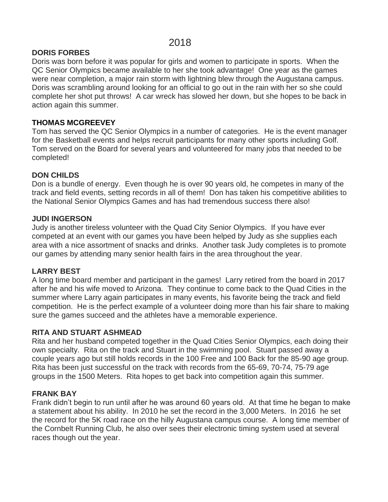# 2018

#### **DORIS FORBES**

Doris was born before it was popular for girls and women to participate in sports. When the QC Senior Olympics became available to her she took advantage! One year as the games were near completion, a major rain storm with lightning blew through the Augustana campus. Doris was scrambling around looking for an official to go out in the rain with her so she could complete her shot put throws! A car wreck has slowed her down, but she hopes to be back in action again this summer.

#### **THOMAS MCGREEVEY**

Tom has served the QC Senior Olympics in a number of categories. He is the event manager for the Basketball events and helps recruit participants for many other sports including Golf. Tom served on the Board for several years and volunteered for many jobs that needed to be completed!

#### **DON CHILDS**

Don is a bundle of energy. Even though he is over 90 years old, he competes in many of the track and field events, setting records in all of them! Don has taken his competitive abilities to the National Senior Olympics Games and has had tremendous success there also!

#### **JUDI INGERSON**

Judy is another tireless volunteer with the Quad City Senior Olympics. If you have ever competed at an event with our games you have been helped by Judy as she supplies each area with a nice assortment of snacks and drinks. Another task Judy completes is to promote our games by attending many senior health fairs in the area throughout the year.

#### **LARRY BEST**

A long time board member and participant in the games! Larry retired from the board in 2017 after he and his wife moved to Arizona. They continue to come back to the Quad Cities in the summer where Larry again participates in many events, his favorite being the track and field competition. He is the perfect example of a volunteer doing more than his fair share to making sure the games succeed and the athletes have a memorable experience.

#### **RITA AND STUART ASHMEAD**

Rita and her husband competed together in the Quad Cities Senior Olympics, each doing their own specialty. Rita on the track and Stuart in the swimming pool. Stuart passed away a couple years ago but still holds records in the 100 Free and 100 Back for the 85-90 age group. Rita has been just successful on the track with records from the 65-69, 70-74, 75-79 age groups in the 1500 Meters. Rita hopes to get back into competition again this summer.

#### **FRANK BAY**

Frank didn't begin to run until after he was around 60 years old. At that time he began to make a statement about his ability. In 2010 he set the record in the 3,000 Meters. In 2016 he set the record for the 5K road race on the hilly Augustana campus course. A long time member of the Cornbelt Running Club, he also over sees their electronic timing system used at several races though out the year.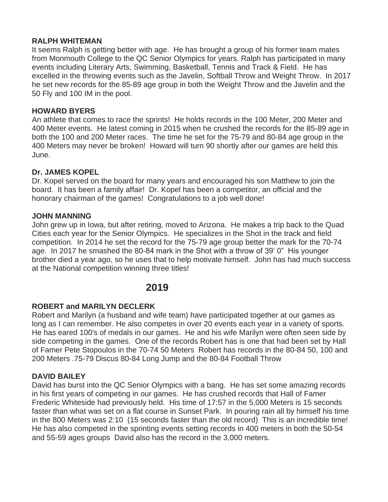#### **RALPH WHITEMAN**

It seems Ralph is getting better with age. He has brought a group of his former team mates from Monmouth College to the QC Senior Olympics for years. Ralph has participated in many events including Literary Arts, Swimming, Basketball, Tennis and Track & Field. He has excelled in the throwing events such as the Javelin, Softball Throw and Weight Throw. In 2017 he set new records for the 85-89 age group in both the Weight Throw and the Javelin and the 50 Fly and 100 IM in the pool.

#### **HOWARD BYERS**

An athlete that comes to race the sprints! He holds records in the 100 Meter, 200 Meter and 400 Meter events. He latest coming in 2015 when he crushed the records for the 85-89 age in both the 100 and 200 Meter races. The time he set for the 75-79 and 80-84 age group in the 400 Meters may never be broken! Howard will turn 90 shortly after our games are held this June.

#### **Dr. JAMES KOPEL**

Dr. Kopel served on the board for many years and encouraged his son Matthew to join the board. It has been a family affair! Dr. Kopel has been a competitor, an official and the honorary chairman of the games! Congratulations to a job well done!

#### **JOHN MANNING**

John grew up in Iowa, but after retiring, moved to Arizona. He makes a trip back to the Quad Cities each year for the Senior Olympics. He specializes in the Shot in the track and field competition. In 2014 he set the record for the 75-79 age group better the mark for the 70-74 age. In 2017 he smashed the 80-84 mark in the Shot with a throw of 39' 0" His younger brother died a year ago, so he uses that to help motivate himself. John has had much success at the National competition winning three titles!

# **2019**

#### **ROBERT and MARILYN DECLERK**

Robert and Marilyn (a husband and wife team) have participated together at our games as long as I can remember. He also competes in over 20 events each year in a variety of sports. He has eared 100's of medals in our games. He and his wife Marilyn were often seen side by side competing in the games. One of the records Robert has is one that had been set by Hall of Famer Pete Stopoulos in the 70-74 50 Meters Robert has records in the 80-84 50, 100 and 200 Meters .75-79 Discus 80-84 Long Jump and the 80-84 Football Throw

#### **DAVID BAILEY**

David has burst into the QC Senior Olympics with a bang. He has set some amazing records in his first years of competing in our games. He has crushed records that Hall of Famer Frederic Whiteside had previously held. His time of 17:57 in the 5,000 Meters is 15 seconds faster than what was set on a flat course in Sunset Park. In pouring rain all by himself his time in the 800 Meters was 2:10 (15 seconds faster than the old record) This is an incredible time! He has also competed in the sprinting events setting records in 400 meters in both the 50-54 and 55-59 ages groups David also has the record in the 3,000 meters.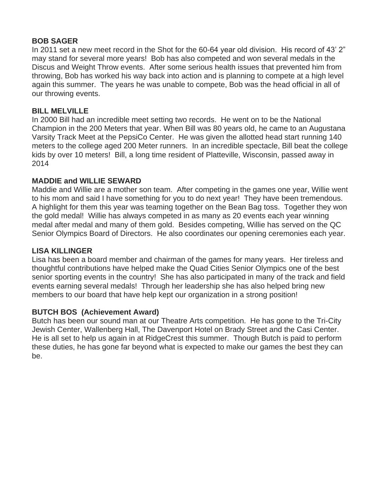#### **BOB SAGER**

In 2011 set a new meet record in the Shot for the 60-64 year old division. His record of 43' 2" may stand for several more years! Bob has also competed and won several medals in the Discus and Weight Throw events. After some serious health issues that prevented him from throwing, Bob has worked his way back into action and is planning to compete at a high level again this summer. The years he was unable to compete, Bob was the head official in all of our throwing events.

#### **BILL MELVILLE**

In 2000 Bill had an incredible meet setting two records. He went on to be the National Champion in the 200 Meters that year. When Bill was 80 years old, he came to an Augustana Varsity Track Meet at the PepsiCo Center. He was given the allotted head start running 140 meters to the college aged 200 Meter runners. In an incredible spectacle, Bill beat the college kids by over 10 meters! Bill, a long time resident of Platteville, Wisconsin, passed away in 2014

#### **MADDIE and WILLIE SEWARD**

Maddie and Willie are a mother son team. After competing in the games one year, Willie went to his mom and said I have something for you to do next year! They have been tremendous. A highlight for them this year was teaming together on the Bean Bag toss. Together they won the gold medal! Willie has always competed in as many as 20 events each year winning medal after medal and many of them gold. Besides competing, Willie has served on the QC Senior Olympics Board of Directors. He also coordinates our opening ceremonies each year.

### **LISA KILLINGER**

Lisa has been a board member and chairman of the games for many years. Her tireless and thoughtful contributions have helped make the Quad Cities Senior Olympics one of the best senior sporting events in the country! She has also participated in many of the track and field events earning several medals! Through her leadership she has also helped bring new members to our board that have help kept our organization in a strong position!

#### **BUTCH BOS (Achievement Award)**

Butch has been our sound man at our Theatre Arts competition. He has gone to the Tri-City Jewish Center, Wallenberg Hall, The Davenport Hotel on Brady Street and the Casi Center. He is all set to help us again in at RidgeCrest this summer. Though Butch is paid to perform these duties, he has gone far beyond what is expected to make our games the best they can be.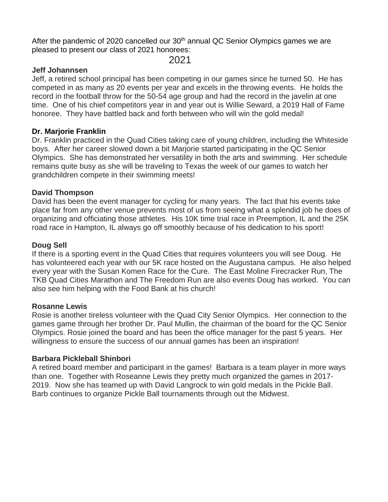After the pandemic of 2020 cancelled our 30<sup>th</sup> annual QC Senior Olympics games we are pleased to present our class of 2021 honorees:

2021

### **Jeff Johannsen**

Jeff, a retired school principal has been competing in our games since he turned 50. He has competed in as many as 20 events per year and excels in the throwing events. He holds the record in the football throw for the 50-54 age group and had the record in the javelin at one time. One of his chief competitors year in and year out is Willie Seward, a 2019 Hall of Fame honoree. They have battled back and forth between who will win the gold medal!

#### **Dr. Marjorie Franklin**

Dr. Franklin practiced in the Quad Cities taking care of young children, including the Whiteside boys. After her career slowed down a bit Marjorie started participating in the QC Senior Olympics. She has demonstrated her versatility in both the arts and swimming. Her schedule remains quite busy as she will be traveling to Texas the week of our games to watch her grandchildren compete in their swimming meets!

#### **David Thompson**

David has been the event manager for cycling for many years. The fact that his events take place far from any other venue prevents most of us from seeing what a splendid job he does of organizing and officiating those athletes. His 10K time trial race in Preemption, IL and the 25K road race in Hampton, IL always go off smoothly because of his dedication to his sport!

#### **Doug Sell**

If there is a sporting event in the Quad Cities that requires volunteers you will see Doug. He has volunteered each year with our 5K race hosted on the Augustana campus. He also helped every year with the Susan Komen Race for the Cure. The East Moline Firecracker Run, The TKB Quad Cities Marathon and The Freedom Run are also events Doug has worked. You can also see him helping with the Food Bank at his church!

#### **Rosanne Lewis**

Rosie is another tireless volunteer with the Quad City Senior Olympics. Her connection to the games game through her brother Dr. Paul Mullin, the chairman of the board for the QC Senior Olympics. Rosie joined the board and has been the office manager for the past 5 years. Her willingness to ensure the success of our annual games has been an inspiration!

#### **Barbara Pickleball Shinbori**

A retired board member and participant in the games! Barbara is a team player in more ways than one. Together with Roseanne Lewis they pretty much organized the games in 2017- 2019. Now she has teamed up with David Langrock to win gold medals in the Pickle Ball. Barb continues to organize Pickle Ball tournaments through out the Midwest.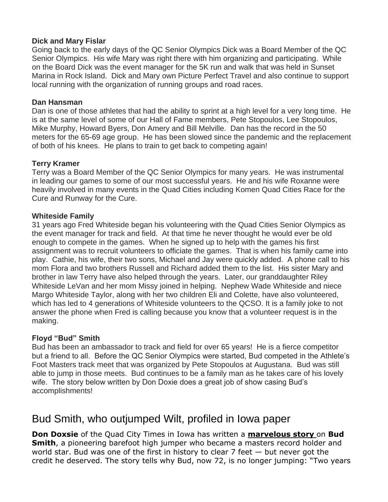#### **Dick and Mary Fislar**

Going back to the early days of the QC Senior Olympics Dick was a Board Member of the QC Senior Olympics. His wife Mary was right there with him organizing and participating. While on the Board Dick was the event manager for the 5K run and walk that was held in Sunset Marina in Rock Island. Dick and Mary own Picture Perfect Travel and also continue to support local running with the organization of running groups and road races.

#### **Dan Hansman**

Dan is one of those athletes that had the ability to sprint at a high level for a very long time. He is at the same level of some of our Hall of Fame members, Pete Stopoulos, Lee Stopoulos, Mike Murphy, Howard Byers, Don Amery and Bill Melville. Dan has the record in the 50 meters for the 65-69 age group. He has been slowed since the pandemic and the replacement of both of his knees. He plans to train to get back to competing again!

# **Terry Kramer**

Terry was a Board Member of the QC Senior Olympics for many years. He was instrumental in leading our games to some of our most successful years. He and his wife Roxanne were heavily involved in many events in the Quad Cities including Komen Quad Cities Race for the Cure and Runway for the Cure.

# **Whiteside Family**

31 years ago Fred Whiteside began his volunteering with the Quad Cities Senior Olympics as the event manager for track and field. At that time he never thought he would ever be old enough to compete in the games. When he signed up to help with the games his first assignment was to recruit volunteers to officiate the games. That is when his family came into play. Cathie, his wife, their two sons, Michael and Jay were quickly added. A phone call to his mom Flora and two brothers Russell and Richard added them to the list. His sister Mary and brother in law Terry have also helped through the years. Later, our granddaughter Riley Whiteside LeVan and her mom Missy joined in helping. Nephew Wade Whiteside and niece Margo Whiteside Taylor, along with her two children Eli and Colette, have also volunteered, which has led to 4 generations of Whiteside volunteers to the QCSO. It is a family joke to not answer the phone when Fred is calling because you know that a volunteer request is in the making.

# **Floyd "Bud" Smith**

Bud has been an ambassador to track and field for over 65 years! He is a fierce competitor but a friend to all. Before the QC Senior Olympics were started, Bud competed in the Athlete's Foot Masters track meet that was organized by Pete Stopoulos at Augustana. Bud was still able to jump in those meets. Bud continues to be a family man as he takes care of his lovely wife. The story below written by Don Doxie does a great job of show casing Bud's accomplishments!

# Bud Smith, who outjumped Wilt, profiled in Iowa paper

**Don Doxsie** of the Quad City Times in Iowa has written a **[marvelous](http://www.qctimes.com/articles/2008/04/17/sports/doc4808242ee93e5927073352.txt) story** on **Bud Smith**, a pioneering barefoot high jumper who became a masters record holder and world star. Bud was one of the first in history to clear 7 feet — but never got the credit he deserved. The story tells why Bud, now 72, is no longer jumping: "Two years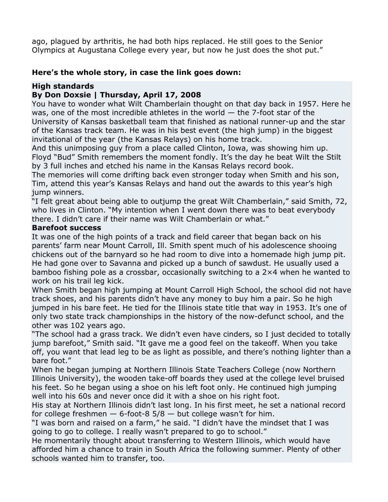ago, plagued by arthritis, he had both hips replaced. He still goes to the Senior Olympics at Augustana College every year, but now he just does the shot put."

# **Here's the whole story, in case the link goes down:**

# **High standards**

# **By Don Doxsie | Thursday, April 17, 2008**

You have to wonder what Wilt Chamberlain thought on that day back in 1957. Here he was, one of the most incredible athletes in the world — the 7-foot star of the University of Kansas basketball team that finished as national runner-up and the star of the Kansas track team. He was in his best event (the high jump) in the biggest invitational of the year (the Kansas Relays) on his home track.

And this unimposing guy from a place called Clinton, Iowa, was showing him up. Floyd "Bud" Smith remembers the moment fondly. It's the day he beat Wilt the Stilt by 3 full inches and etched his name in the Kansas Relays record book.

The memories will come drifting back even stronger today when Smith and his son, Tim, attend this year's Kansas Relays and hand out the awards to this year's high jump winners.

"I felt great about being able to outjump the great Wilt Chamberlain," said Smith, 72, who lives in Clinton. "My intention when I went down there was to beat everybody there. I didn't care if their name was Wilt Chamberlain or what."

#### **Barefoot success**

It was one of the high points of a track and field career that began back on his parents' farm near Mount Carroll, Ill. Smith spent much of his adolescence shooing chickens out of the barnyard so he had room to dive into a homemade high jump pit. He had gone over to Savanna and picked up a bunch of sawdust. He usually used a bamboo fishing pole as a crossbar, occasionally switching to a 2×4 when he wanted to work on his trail leg kick.

When Smith began high jumping at Mount Carroll High School, the school did not have track shoes, and his parents didn't have any money to buy him a pair. So he high jumped in his bare feet. He tied for the Illinois state title that way in 1953. It's one of only two state track championships in the history of the now-defunct school, and the other was 102 years ago.

"The school had a grass track. We didn't even have cinders, so I just decided to totally jump barefoot," Smith said. "It gave me a good feel on the takeoff. When you take off, you want that lead leg to be as light as possible, and there's nothing lighter than a bare foot."

When he began jumping at Northern Illinois State Teachers College (now Northern Illinois University), the wooden take-off boards they used at the college level bruised his feet. So he began using a shoe on his left foot only. He continued high jumping well into his 60s and never once did it with a shoe on his right foot.

His stay at Northern Illinois didn't last long. In his first meet, he set a national record for college freshmen  $-$  6-foot-8 5/8  $-$  but college wasn't for him.

"I was born and raised on a farm," he said. "I didn't have the mindset that I was going to go to college. I really wasn't prepared to go to school."

He momentarily thought about transferring to Western Illinois, which would have afforded him a chance to train in South Africa the following summer. Plenty of other schools wanted him to transfer, too.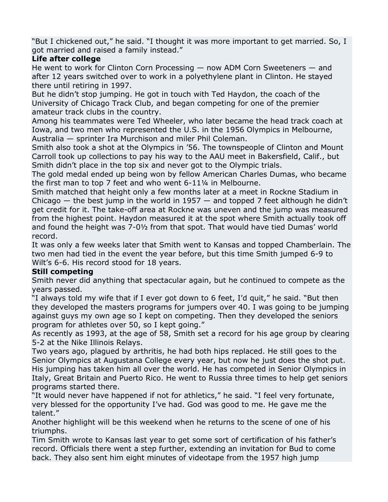"But I chickened out," he said. "I thought it was more important to get married. So, I got married and raised a family instead."

# **Life after college**

He went to work for Clinton Corn Processing — now ADM Corn Sweeteners — and after 12 years switched over to work in a polyethylene plant in Clinton. He stayed there until retiring in 1997.

But he didn't stop jumping. He got in touch with Ted Haydon, the coach of the University of Chicago Track Club, and began competing for one of the premier amateur track clubs in the country.

Among his teammates were Ted Wheeler, who later became the head track coach at Iowa, and two men who represented the U.S. in the 1956 Olympics in Melbourne, Australia — sprinter Ira Murchison and miler Phil Coleman.

Smith also took a shot at the Olympics in '56. The townspeople of Clinton and Mount Carroll took up collections to pay his way to the AAU meet in Bakersfield, Calif., but Smith didn't place in the top six and never got to the Olympic trials.

The gold medal ended up being won by fellow American Charles Dumas, who became the first man to top 7 feet and who went 6-11¼ in Melbourne.

Smith matched that height only a few months later at a meet in Rockne Stadium in Chicago  $-$  the best jump in the world in 1957  $-$  and topped 7 feet although he didn't get credit for it. The take-off area at Rockne was uneven and the jump was measured from the highest point. Haydon measured it at the spot where Smith actually took off and found the height was 7-0½ from that spot. That would have tied Dumas' world record.

It was only a few weeks later that Smith went to Kansas and topped Chamberlain. The two men had tied in the event the year before, but this time Smith jumped 6-9 to Wilt's 6-6. His record stood for 18 years.

# **Still competing**

Smith never did anything that spectacular again, but he continued to compete as the years passed.

"I always told my wife that if I ever got down to 6 feet, I'd quit," he said. "But then they developed the masters programs for jumpers over 40. I was going to be jumping against guys my own age so I kept on competing. Then they developed the seniors program for athletes over 50, so I kept going."

As recently as 1993, at the age of 58, Smith set a record for his age group by clearing 5-2 at the Nike Illinois Relays.

Two years ago, plagued by arthritis, he had both hips replaced. He still goes to the Senior Olympics at Augustana College every year, but now he just does the shot put. His jumping has taken him all over the world. He has competed in Senior Olympics in Italy, Great Britain and Puerto Rico. He went to Russia three times to help get seniors programs started there.

"It would never have happened if not for athletics," he said. "I feel very fortunate, very blessed for the opportunity I've had. God was good to me. He gave me the talent."

Another highlight will be this weekend when he returns to the scene of one of his triumphs.

Tim Smith wrote to Kansas last year to get some sort of certification of his father's record. Officials there went a step further, extending an invitation for Bud to come back. They also sent him eight minutes of videotape from the 1957 high jump